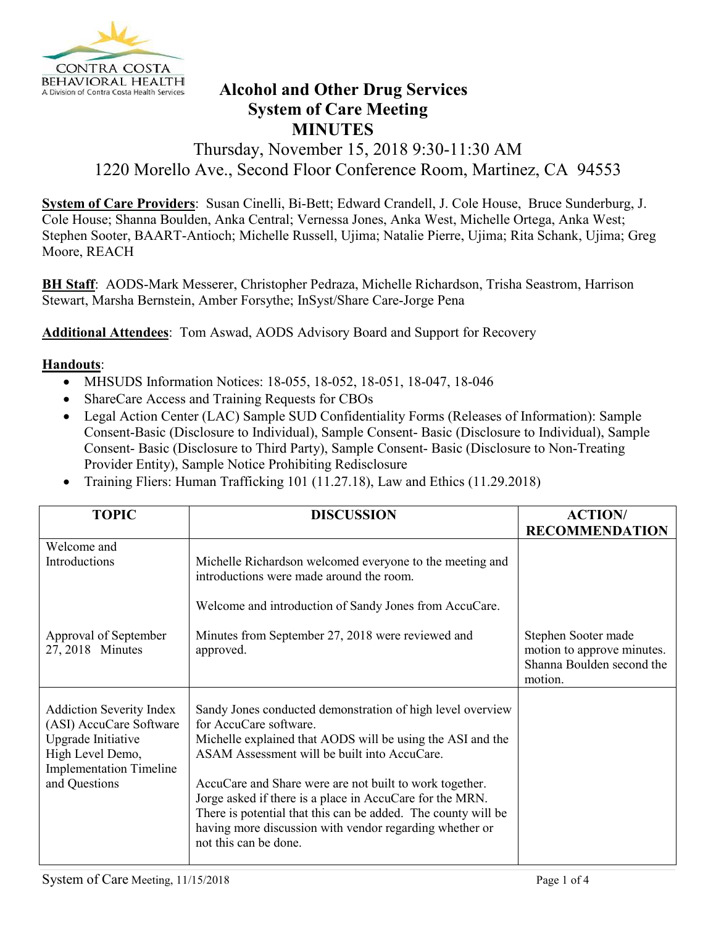

## **BEHAVIORAL HEALTH Alcohol and Other Drug Services Alcohol and Other Drug Services System of Care Meeting MINUTES**

## Thursday, November 15, 2018 9:30-11:30 AM 1220 Morello Ave., Second Floor Conference Room, Martinez, CA 94553

**System of Care Providers**: Susan Cinelli, Bi-Bett; Edward Crandell, J. Cole House, Bruce Sunderburg, J. Cole House; Shanna Boulden, Anka Central; Vernessa Jones, Anka West, Michelle Ortega, Anka West; Stephen Sooter, BAART-Antioch; Michelle Russell, Ujima; Natalie Pierre, Ujima; Rita Schank, Ujima; Greg Moore, REACH

**BH Staff**: AODS-Mark Messerer, Christopher Pedraza, Michelle Richardson, Trisha Seastrom, Harrison Stewart, Marsha Bernstein, Amber Forsythe; InSyst/Share Care-Jorge Pena

**Additional Attendees**: Tom Aswad, AODS Advisory Board and Support for Recovery

## **Handouts**:

- MHSUDS Information Notices: 18-055, 18-052, 18-051, 18-047, 18-046
- ShareCare Access and Training Requests for CBOs
- Legal Action Center (LAC) Sample SUD Confidentiality Forms (Releases of Information): Sample Consent-Basic (Disclosure to Individual), Sample Consent- Basic (Disclosure to Individual), Sample Consent- Basic (Disclosure to Third Party), Sample Consent- Basic (Disclosure to Non-Treating Provider Entity), Sample Notice Prohibiting Redisclosure
- Training Fliers: Human Trafficking 101 (11.27.18), Law and Ethics (11.29.2018)

| <b>TOPIC</b>                                                                                                                                            | <b>DISCUSSION</b>                                                                                                                                                                                                                                                                                                                                                                                                                                                              | <b>ACTION/</b>                                                                            |
|---------------------------------------------------------------------------------------------------------------------------------------------------------|--------------------------------------------------------------------------------------------------------------------------------------------------------------------------------------------------------------------------------------------------------------------------------------------------------------------------------------------------------------------------------------------------------------------------------------------------------------------------------|-------------------------------------------------------------------------------------------|
|                                                                                                                                                         |                                                                                                                                                                                                                                                                                                                                                                                                                                                                                | <b>RECOMMENDATION</b>                                                                     |
| Welcome and                                                                                                                                             |                                                                                                                                                                                                                                                                                                                                                                                                                                                                                |                                                                                           |
| Introductions                                                                                                                                           | Michelle Richardson welcomed everyone to the meeting and<br>introductions were made around the room.                                                                                                                                                                                                                                                                                                                                                                           |                                                                                           |
|                                                                                                                                                         | Welcome and introduction of Sandy Jones from AccuCare.                                                                                                                                                                                                                                                                                                                                                                                                                         |                                                                                           |
| Approval of September<br>27, 2018 Minutes                                                                                                               | Minutes from September 27, 2018 were reviewed and<br>approved.                                                                                                                                                                                                                                                                                                                                                                                                                 | Stephen Sooter made<br>motion to approve minutes.<br>Shanna Boulden second the<br>motion. |
| <b>Addiction Severity Index</b><br>(ASI) AccuCare Software<br>Upgrade Initiative<br>High Level Demo,<br><b>Implementation Timeline</b><br>and Questions | Sandy Jones conducted demonstration of high level overview<br>for AccuCare software.<br>Michelle explained that AODS will be using the ASI and the<br>ASAM Assessment will be built into AccuCare.<br>AccuCare and Share were are not built to work together.<br>Jorge asked if there is a place in AccuCare for the MRN.<br>There is potential that this can be added. The county will be<br>having more discussion with vendor regarding whether or<br>not this can be done. |                                                                                           |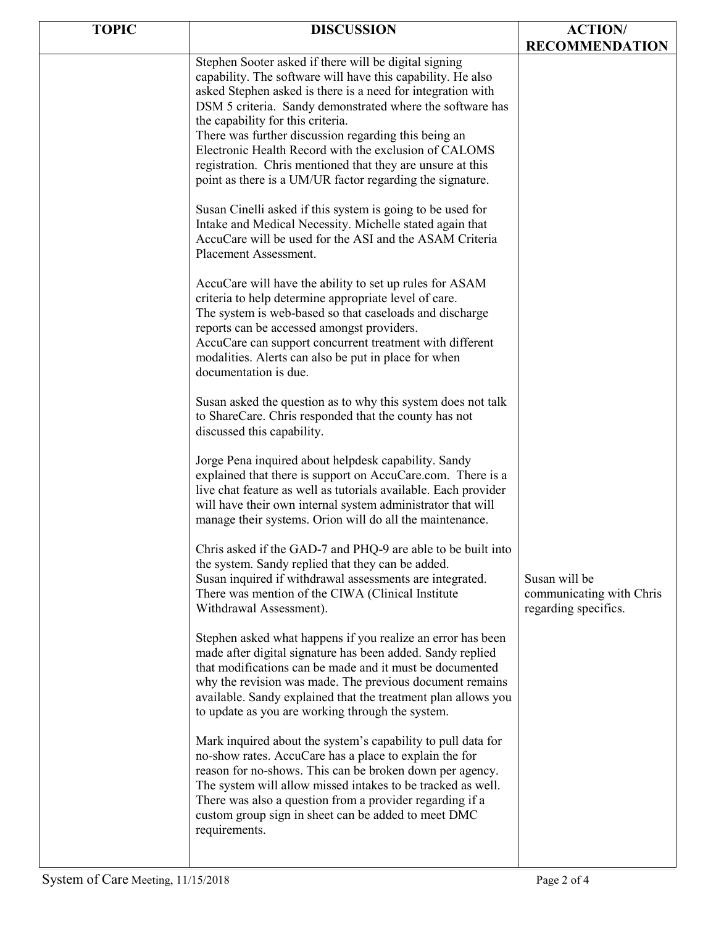| <b>TOPIC</b> | <b>DISCUSSION</b>                                                                                                                                                                                                                                                                                                                                                                                                                                                                                                                 | <b>ACTION/</b>                                                    |
|--------------|-----------------------------------------------------------------------------------------------------------------------------------------------------------------------------------------------------------------------------------------------------------------------------------------------------------------------------------------------------------------------------------------------------------------------------------------------------------------------------------------------------------------------------------|-------------------------------------------------------------------|
|              |                                                                                                                                                                                                                                                                                                                                                                                                                                                                                                                                   | <b>RECOMMENDATION</b>                                             |
|              | Stephen Sooter asked if there will be digital signing<br>capability. The software will have this capability. He also<br>asked Stephen asked is there is a need for integration with<br>DSM 5 criteria. Sandy demonstrated where the software has<br>the capability for this criteria.<br>There was further discussion regarding this being an<br>Electronic Health Record with the exclusion of CALOMS<br>registration. Chris mentioned that they are unsure at this<br>point as there is a UM/UR factor regarding the signature. |                                                                   |
|              | Susan Cinelli asked if this system is going to be used for<br>Intake and Medical Necessity. Michelle stated again that<br>AccuCare will be used for the ASI and the ASAM Criteria<br>Placement Assessment.                                                                                                                                                                                                                                                                                                                        |                                                                   |
|              | AccuCare will have the ability to set up rules for ASAM<br>criteria to help determine appropriate level of care.<br>The system is web-based so that caseloads and discharge<br>reports can be accessed amongst providers.<br>AccuCare can support concurrent treatment with different<br>modalities. Alerts can also be put in place for when<br>documentation is due.                                                                                                                                                            |                                                                   |
|              | Susan asked the question as to why this system does not talk<br>to ShareCare. Chris responded that the county has not<br>discussed this capability.                                                                                                                                                                                                                                                                                                                                                                               |                                                                   |
|              | Jorge Pena inquired about helpdesk capability. Sandy<br>explained that there is support on AccuCare.com. There is a<br>live chat feature as well as tutorials available. Each provider<br>will have their own internal system administrator that will<br>manage their systems. Orion will do all the maintenance.                                                                                                                                                                                                                 |                                                                   |
|              | Chris asked if the GAD-7 and PHQ-9 are able to be built into<br>the system. Sandy replied that they can be added.<br>Susan inquired if withdrawal assessments are integrated.<br>There was mention of the CIWA (Clinical Institute<br>Withdrawal Assessment).                                                                                                                                                                                                                                                                     | Susan will be<br>communicating with Chris<br>regarding specifics. |
|              | Stephen asked what happens if you realize an error has been<br>made after digital signature has been added. Sandy replied<br>that modifications can be made and it must be documented<br>why the revision was made. The previous document remains<br>available. Sandy explained that the treatment plan allows you<br>to update as you are working through the system.                                                                                                                                                            |                                                                   |
|              | Mark inquired about the system's capability to pull data for<br>no-show rates. AccuCare has a place to explain the for<br>reason for no-shows. This can be broken down per agency.<br>The system will allow missed intakes to be tracked as well.<br>There was also a question from a provider regarding if a<br>custom group sign in sheet can be added to meet DMC<br>requirements.                                                                                                                                             |                                                                   |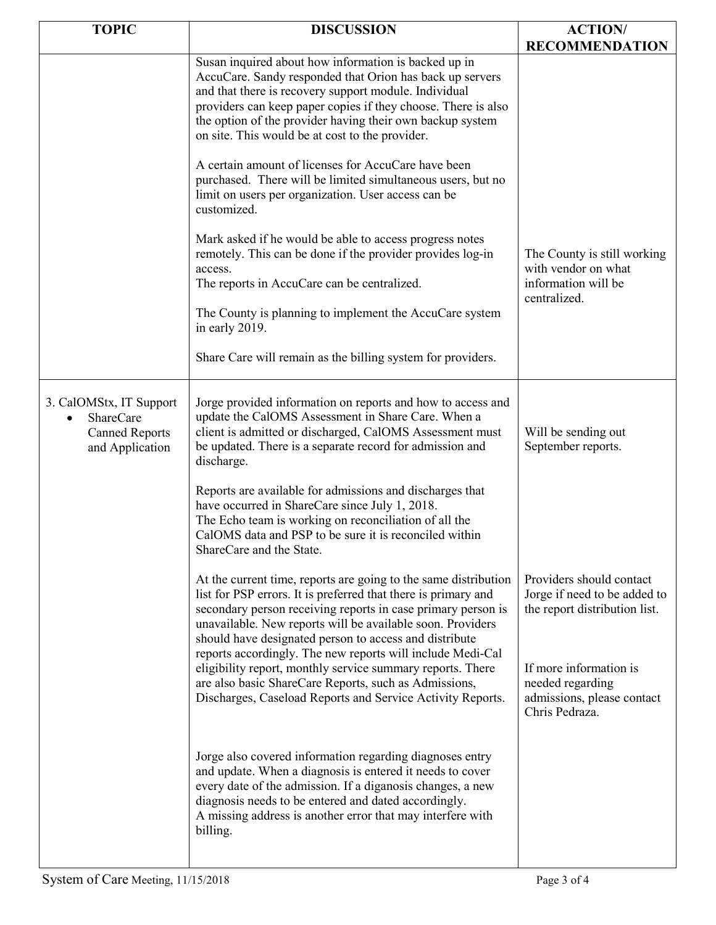| <b>TOPIC</b>                                                                            | <b>DISCUSSION</b>                                                                                                                                                                                                                                                                                                                                                                       | <b>ACTION/</b><br><b>RECOMMENDATION</b>                                                    |
|-----------------------------------------------------------------------------------------|-----------------------------------------------------------------------------------------------------------------------------------------------------------------------------------------------------------------------------------------------------------------------------------------------------------------------------------------------------------------------------------------|--------------------------------------------------------------------------------------------|
|                                                                                         | Susan inquired about how information is backed up in<br>AccuCare. Sandy responded that Orion has back up servers<br>and that there is recovery support module. Individual<br>providers can keep paper copies if they choose. There is also<br>the option of the provider having their own backup system<br>on site. This would be at cost to the provider.                              |                                                                                            |
|                                                                                         | A certain amount of licenses for AccuCare have been<br>purchased. There will be limited simultaneous users, but no<br>limit on users per organization. User access can be<br>customized.                                                                                                                                                                                                |                                                                                            |
|                                                                                         | Mark asked if he would be able to access progress notes<br>remotely. This can be done if the provider provides log-in<br>access.<br>The reports in AccuCare can be centralized.                                                                                                                                                                                                         | The County is still working<br>with vendor on what<br>information will be<br>centralized.  |
|                                                                                         | The County is planning to implement the AccuCare system<br>in early 2019.                                                                                                                                                                                                                                                                                                               |                                                                                            |
|                                                                                         | Share Care will remain as the billing system for providers.                                                                                                                                                                                                                                                                                                                             |                                                                                            |
| 3. CalOMStx, IT Support<br><b>ShareCare</b><br><b>Canned Reports</b><br>and Application | Jorge provided information on reports and how to access and<br>update the CalOMS Assessment in Share Care. When a<br>client is admitted or discharged, CalOMS Assessment must<br>be updated. There is a separate record for admission and<br>discharge.                                                                                                                                 | Will be sending out<br>September reports.                                                  |
|                                                                                         | Reports are available for admissions and discharges that<br>have occurred in ShareCare since July 1, 2018.<br>The Echo team is working on reconciliation of all the<br>CalOMS data and PSP to be sure it is reconciled within<br>ShareCare and the State.                                                                                                                               |                                                                                            |
|                                                                                         | At the current time, reports are going to the same distribution<br>list for PSP errors. It is preferred that there is primary and<br>secondary person receiving reports in case primary person is<br>unavailable. New reports will be available soon. Providers<br>should have designated person to access and distribute<br>reports accordingly. The new reports will include Medi-Cal | Providers should contact<br>Jorge if need to be added to<br>the report distribution list.  |
|                                                                                         | eligibility report, monthly service summary reports. There<br>are also basic ShareCare Reports, such as Admissions,<br>Discharges, Caseload Reports and Service Activity Reports.                                                                                                                                                                                                       | If more information is<br>needed regarding<br>admissions, please contact<br>Chris Pedraza. |
|                                                                                         | Jorge also covered information regarding diagnoses entry<br>and update. When a diagnosis is entered it needs to cover<br>every date of the admission. If a diganosis changes, a new<br>diagnosis needs to be entered and dated accordingly.<br>A missing address is another error that may interfere with<br>billing.                                                                   |                                                                                            |